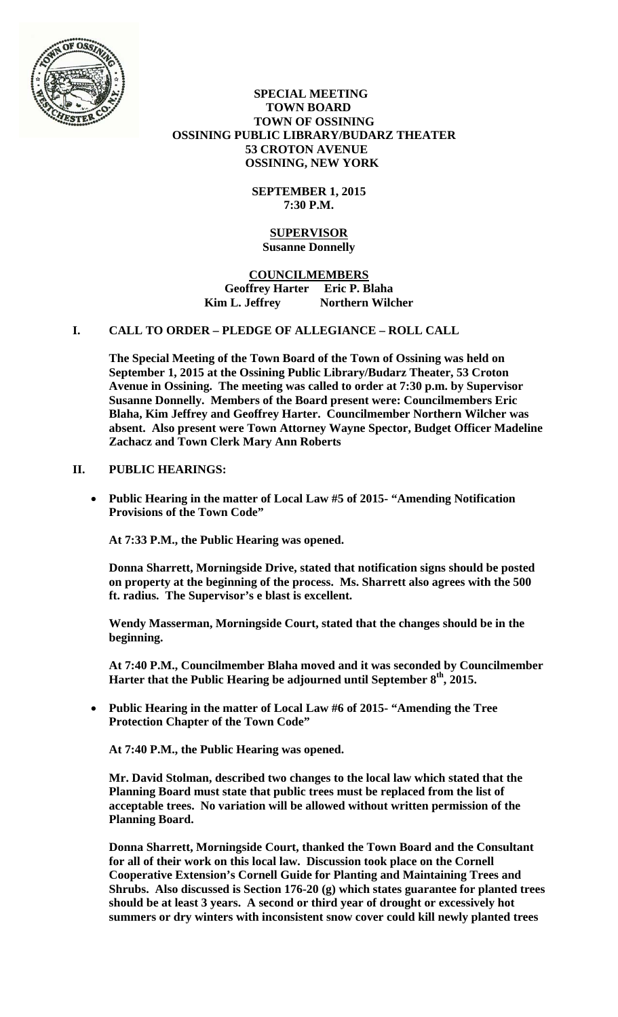

 **SPECIAL MEETING TOWN BOARD TOWN OF OSSINING OSSINING PUBLIC LIBRARY/BUDARZ THEATER 53 CROTON AVENUE OSSINING, NEW YORK** 

> **SEPTEMBER 1, 2015 7:30 P.M.**

#### **SUPERVISOR Susanne Donnelly**

**COUNCILMEMBERS Geoffrey Harter Eric P. Blaha**  Kim L. Jeffrey **Northern Wilcher** 

## **I. CALL TO ORDER – PLEDGE OF ALLEGIANCE – ROLL CALL**

**The Special Meeting of the Town Board of the Town of Ossining was held on September 1, 2015 at the Ossining Public Library/Budarz Theater, 53 Croton Avenue in Ossining. The meeting was called to order at 7:30 p.m. by Supervisor Susanne Donnelly. Members of the Board present were: Councilmembers Eric Blaha, Kim Jeffrey and Geoffrey Harter. Councilmember Northern Wilcher was absent. Also present were Town Attorney Wayne Spector, Budget Officer Madeline Zachacz and Town Clerk Mary Ann Roberts** 

### **II. PUBLIC HEARINGS:**

 **Public Hearing in the matter of Local Law #5 of 2015- "Amending Notification Provisions of the Town Code"** 

**At 7:33 P.M., the Public Hearing was opened.** 

**Donna Sharrett, Morningside Drive, stated that notification signs should be posted on property at the beginning of the process. Ms. Sharrett also agrees with the 500 ft. radius. The Supervisor's e blast is excellent.** 

**Wendy Masserman, Morningside Court, stated that the changes should be in the beginning.** 

**At 7:40 P.M., Councilmember Blaha moved and it was seconded by Councilmember Harter that the Public Hearing be adjourned until September 8th, 2015.**

 **Public Hearing in the matter of Local Law #6 of 2015- "Amending the Tree Protection Chapter of the Town Code"** 

**At 7:40 P.M., the Public Hearing was opened.** 

**Mr. David Stolman, described two changes to the local law which stated that the Planning Board must state that public trees must be replaced from the list of acceptable trees. No variation will be allowed without written permission of the Planning Board.** 

**Donna Sharrett, Morningside Court, thanked the Town Board and the Consultant for all of their work on this local law. Discussion took place on the Cornell Cooperative Extension's Cornell Guide for Planting and Maintaining Trees and Shrubs. Also discussed is Section 176-20 (g) which states guarantee for planted trees should be at least 3 years. A second or third year of drought or excessively hot summers or dry winters with inconsistent snow cover could kill newly planted trees**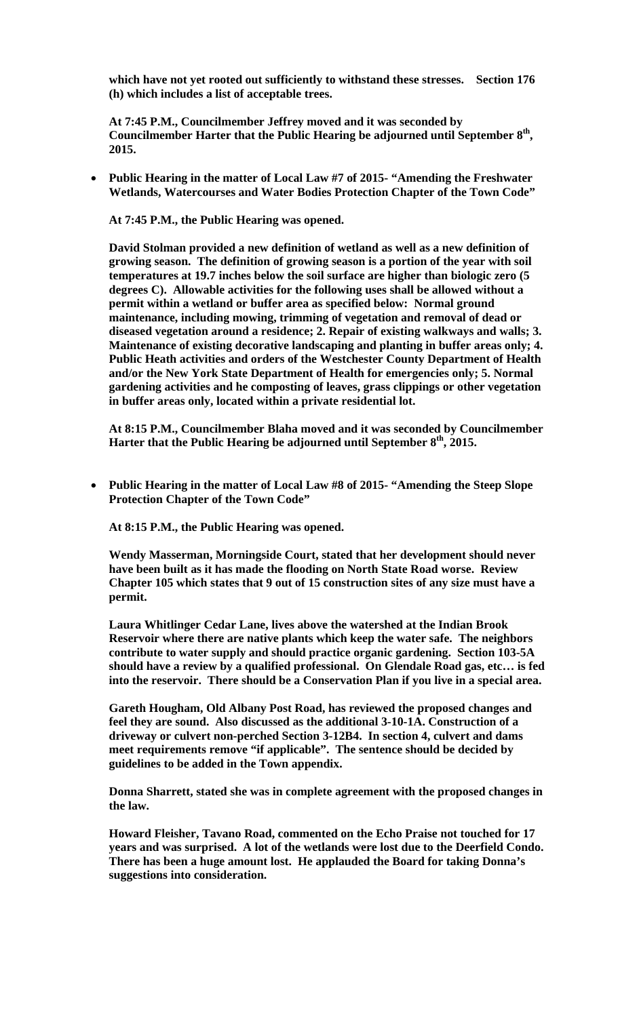**which have not yet rooted out sufficiently to withstand these stresses. Section 176 (h) which includes a list of acceptable trees.** 

**At 7:45 P.M., Councilmember Jeffrey moved and it was seconded by**  Councilmember Harter that the Public Hearing be adjourned until September 8<sup>th</sup>, **2015.**

 **Public Hearing in the matter of Local Law #7 of 2015- "Amending the Freshwater Wetlands, Watercourses and Water Bodies Protection Chapter of the Town Code"** 

**At 7:45 P.M., the Public Hearing was opened.** 

**David Stolman provided a new definition of wetland as well as a new definition of growing season. The definition of growing season is a portion of the year with soil temperatures at 19.7 inches below the soil surface are higher than biologic zero (5 degrees C). Allowable activities for the following uses shall be allowed without a permit within a wetland or buffer area as specified below: Normal ground maintenance, including mowing, trimming of vegetation and removal of dead or diseased vegetation around a residence; 2. Repair of existing walkways and walls; 3. Maintenance of existing decorative landscaping and planting in buffer areas only; 4. Public Heath activities and orders of the Westchester County Department of Health and/or the New York State Department of Health for emergencies only; 5. Normal gardening activities and he composting of leaves, grass clippings or other vegetation in buffer areas only, located within a private residential lot.** 

**At 8:15 P.M., Councilmember Blaha moved and it was seconded by Councilmember Harter that the Public Hearing be adjourned until September 8th, 2015.**

 **Public Hearing in the matter of Local Law #8 of 2015- "Amending the Steep Slope Protection Chapter of the Town Code"** 

**At 8:15 P.M., the Public Hearing was opened.** 

**Wendy Masserman, Morningside Court, stated that her development should never have been built as it has made the flooding on North State Road worse. Review Chapter 105 which states that 9 out of 15 construction sites of any size must have a permit.** 

**Laura Whitlinger Cedar Lane, lives above the watershed at the Indian Brook Reservoir where there are native plants which keep the water safe. The neighbors contribute to water supply and should practice organic gardening. Section 103-5A should have a review by a qualified professional. On Glendale Road gas, etc… is fed into the reservoir. There should be a Conservation Plan if you live in a special area.** 

**Gareth Hougham, Old Albany Post Road, has reviewed the proposed changes and feel they are sound. Also discussed as the additional 3-10-1A. Construction of a driveway or culvert non-perched Section 3-12B4. In section 4, culvert and dams meet requirements remove "if applicable". The sentence should be decided by guidelines to be added in the Town appendix.** 

**Donna Sharrett, stated she was in complete agreement with the proposed changes in the law.** 

**Howard Fleisher, Tavano Road, commented on the Echo Praise not touched for 17 years and was surprised. A lot of the wetlands were lost due to the Deerfield Condo. There has been a huge amount lost. He applauded the Board for taking Donna's suggestions into consideration.**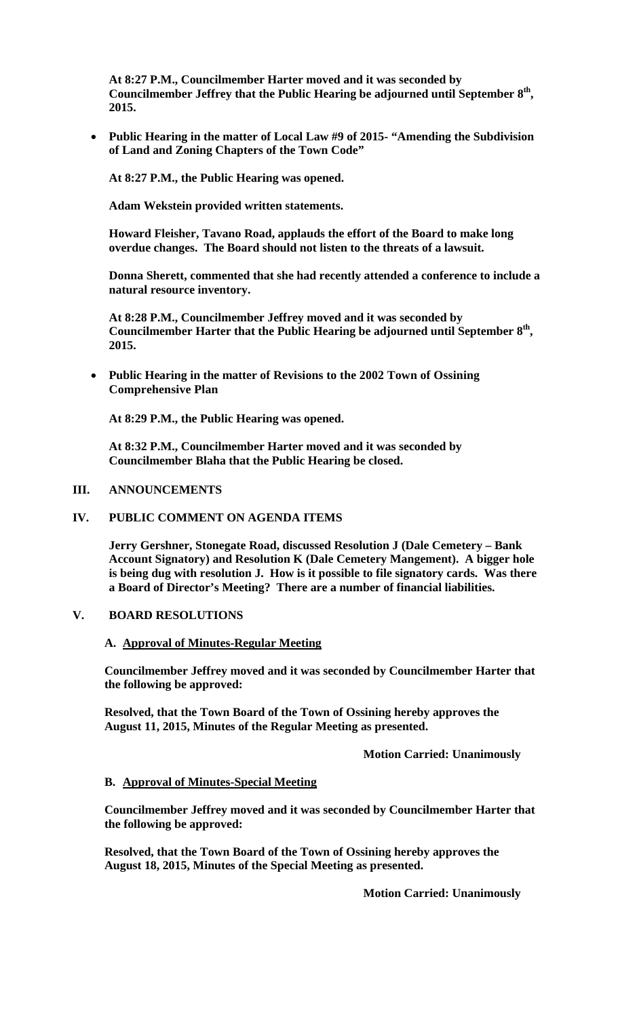**At 8:27 P.M., Councilmember Harter moved and it was seconded by**  Councilmember Jeffrey that the Public Hearing be adjourned until September  $8<sup>th</sup>$ , **2015.**

 **Public Hearing in the matter of Local Law #9 of 2015- "Amending the Subdivision of Land and Zoning Chapters of the Town Code"** 

**At 8:27 P.M., the Public Hearing was opened.** 

**Adam Wekstein provided written statements.** 

**Howard Fleisher, Tavano Road, applauds the effort of the Board to make long overdue changes. The Board should not listen to the threats of a lawsuit.** 

**Donna Sherett, commented that she had recently attended a conference to include a natural resource inventory.** 

**At 8:28 P.M., Councilmember Jeffrey moved and it was seconded by Councilmember Harter that the Public Hearing be adjourned until September 8th, 2015.**

 **Public Hearing in the matter of Revisions to the 2002 Town of Ossining Comprehensive Plan**

**At 8:29 P.M., the Public Hearing was opened.** 

**At 8:32 P.M., Councilmember Harter moved and it was seconded by Councilmember Blaha that the Public Hearing be closed.**

#### **III. ANNOUNCEMENTS**

## **IV. PUBLIC COMMENT ON AGENDA ITEMS**

**Jerry Gershner, Stonegate Road, discussed Resolution J (Dale Cemetery – Bank Account Signatory) and Resolution K (Dale Cemetery Mangement). A bigger hole is being dug with resolution J. How is it possible to file signatory cards. Was there a Board of Director's Meeting? There are a number of financial liabilities.** 

#### **V. BOARD RESOLUTIONS**

#### **A. Approval of Minutes-Regular Meeting**

**Councilmember Jeffrey moved and it was seconded by Councilmember Harter that the following be approved:** 

**Resolved, that the Town Board of the Town of Ossining hereby approves the August 11, 2015, Minutes of the Regular Meeting as presented.** 

 **Motion Carried: Unanimously** 

#### **B. Approval of Minutes-Special Meeting**

**Councilmember Jeffrey moved and it was seconded by Councilmember Harter that the following be approved:** 

**Resolved, that the Town Board of the Town of Ossining hereby approves the August 18, 2015, Minutes of the Special Meeting as presented.** 

 **Motion Carried: Unanimously**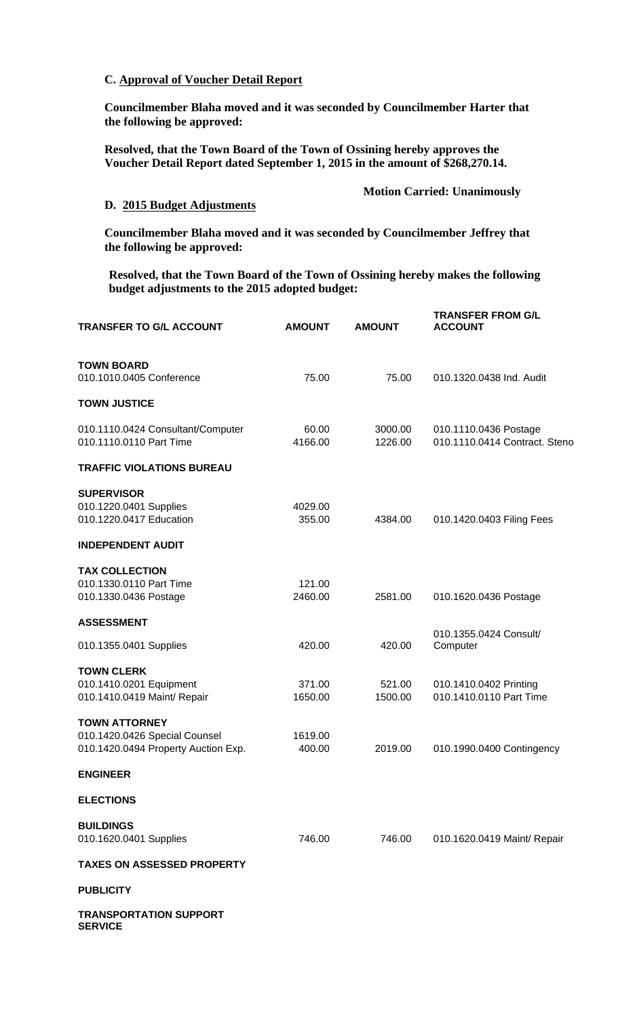### **C. Approval of Voucher Detail Report**

**Councilmember Blaha moved and it was seconded by Councilmember Harter that the following be approved:** 

**Resolved, that the Town Board of the Town of Ossining hereby approves the Voucher Detail Report dated September 1, 2015 in the amount of \$268,270.14.** 

# **D. 2015 Budget Adjustments**

 **Motion Carried: Unanimously** 

**Councilmember Blaha moved and it was seconded by Councilmember Jeffrey that the following be approved:** 

**Resolved, that the Town Board of the Town of Ossining hereby makes the following budget adjustments to the 2015 adopted budget:** 

| <b>TRANSFER TO G/L ACCOUNT</b>                                                               | <b>AMOUNT</b>     | <b>AMOUNT</b>      | <b>TRANSFER FROM G/L</b><br><b>ACCOUNT</b>             |
|----------------------------------------------------------------------------------------------|-------------------|--------------------|--------------------------------------------------------|
| <b>TOWN BOARD</b><br>010.1010.0405 Conference                                                | 75.00             | 75.00              | 010.1320.0438 Ind. Audit                               |
| <b>TOWN JUSTICE</b>                                                                          |                   |                    |                                                        |
| 010.1110.0424 Consultant/Computer<br>010.1110.0110 Part Time                                 | 60.00<br>4166.00  | 3000.00<br>1226.00 | 010.1110.0436 Postage<br>010.1110.0414 Contract. Steno |
| <b>TRAFFIC VIOLATIONS BUREAU</b>                                                             |                   |                    |                                                        |
| <b>SUPERVISOR</b><br>010.1220.0401 Supplies<br>010.1220.0417 Education                       | 4029.00<br>355.00 | 4384.00            | 010.1420.0403 Filing Fees                              |
| <b>INDEPENDENT AUDIT</b>                                                                     |                   |                    |                                                        |
| <b>TAX COLLECTION</b><br>010.1330.0110 Part Time<br>010.1330.0436 Postage                    | 121.00<br>2460.00 | 2581.00            | 010.1620.0436 Postage                                  |
| <b>ASSESSMENT</b>                                                                            |                   |                    | 010.1355.0424 Consult/                                 |
| 010.1355.0401 Supplies                                                                       | 420.00            | 420.00             | Computer                                               |
| <b>TOWN CLERK</b><br>010.1410.0201 Equipment<br>010.1410.0419 Maint/ Repair                  | 371.00<br>1650.00 | 521.00<br>1500.00  | 010.1410.0402 Printing<br>010.1410.0110 Part Time      |
| <b>TOWN ATTORNEY</b><br>010.1420.0426 Special Counsel<br>010.1420.0494 Property Auction Exp. | 1619.00<br>400.00 | 2019.00            | 010.1990.0400 Contingency                              |
| <b>ENGINEER</b>                                                                              |                   |                    |                                                        |
| <b>ELECTIONS</b>                                                                             |                   |                    |                                                        |
| <b>BUILDINGS</b><br>010.1620.0401 Supplies                                                   | 746.00            | 746.00             | 010.1620.0419 Maint/ Repair                            |
| <b>TAXES ON ASSESSED PROPERTY</b>                                                            |                   |                    |                                                        |
| <b>PUBLICITY</b>                                                                             |                   |                    |                                                        |
| <b>TRANSPORTATION SUPPORT</b>                                                                |                   |                    |                                                        |

**SERVICE**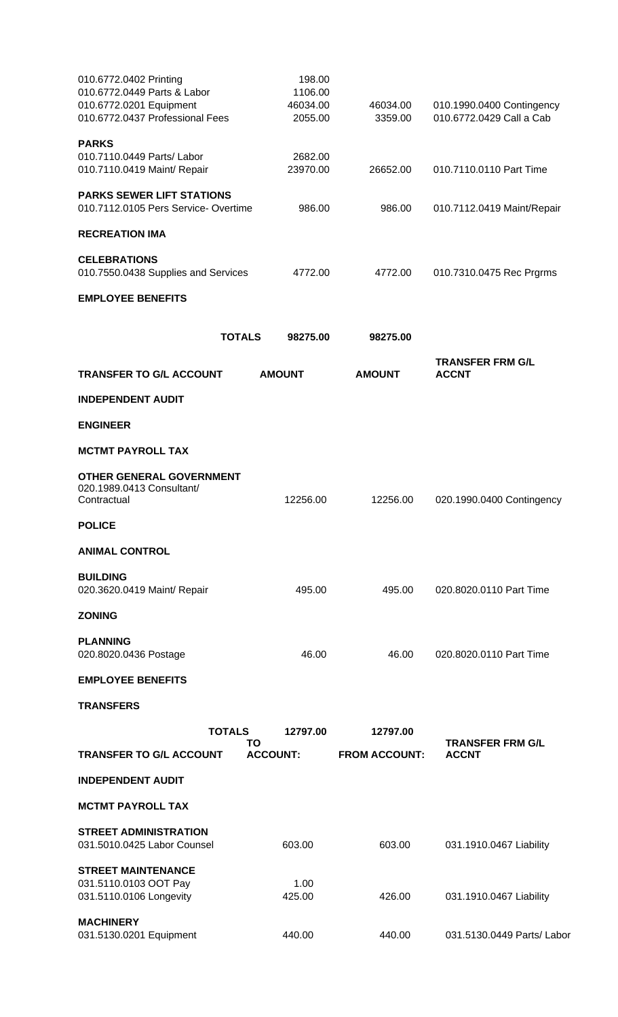| 010.6772.0402 Printing<br>010.6772.0449 Parts & Labor<br>010.6772.0201 Equipment<br>010.6772.0437 Professional Fees |                     | 198.00<br>1106.00<br>46034.00<br>2055.00 | 46034.00<br>3359.00  | 010.1990.0400 Contingency<br>010.6772.0429 Call a Cab |
|---------------------------------------------------------------------------------------------------------------------|---------------------|------------------------------------------|----------------------|-------------------------------------------------------|
| <b>PARKS</b>                                                                                                        |                     |                                          |                      |                                                       |
| 010.7110.0449 Parts/ Labor<br>010.7110.0419 Maint/ Repair                                                           |                     | 2682.00<br>23970.00                      | 26652.00             | 010.7110.0110 Part Time                               |
| <b>PARKS SEWER LIFT STATIONS</b><br>010.7112.0105 Pers Service- Overtime                                            |                     | 986.00                                   | 986.00               | 010.7112.0419 Maint/Repair                            |
| <b>RECREATION IMA</b>                                                                                               |                     |                                          |                      |                                                       |
| <b>CELEBRATIONS</b><br>010.7550.0438 Supplies and Services                                                          |                     | 4772.00                                  | 4772.00              | 010.7310.0475 Rec Prgrms                              |
| <b>EMPLOYEE BENEFITS</b>                                                                                            |                     |                                          |                      |                                                       |
|                                                                                                                     | <b>TOTALS</b>       | 98275.00                                 | 98275.00             |                                                       |
| <b>TRANSFER TO G/L ACCOUNT</b>                                                                                      |                     | <b>AMOUNT</b>                            | <b>AMOUNT</b>        | <b>TRANSFER FRM G/L</b><br><b>ACCNT</b>               |
| <b>INDEPENDENT AUDIT</b>                                                                                            |                     |                                          |                      |                                                       |
| <b>ENGINEER</b>                                                                                                     |                     |                                          |                      |                                                       |
| <b>MCTMT PAYROLL TAX</b>                                                                                            |                     |                                          |                      |                                                       |
| <b>OTHER GENERAL GOVERNMENT</b><br>020.1989.0413 Consultant/<br>Contractual                                         |                     | 12256.00                                 | 12256.00             | 020.1990.0400 Contingency                             |
| <b>POLICE</b>                                                                                                       |                     |                                          |                      |                                                       |
| <b>ANIMAL CONTROL</b>                                                                                               |                     |                                          |                      |                                                       |
| <b>BUILDING</b><br>020.3620.0419 Maint/ Repair                                                                      |                     | 495.00                                   | 495.00               | 020.8020.0110 Part Time                               |
| <b>ZONING</b>                                                                                                       |                     |                                          |                      |                                                       |
| <b>PLANNING</b><br>020.8020.0436 Postage                                                                            |                     | 46.00                                    | 46.00                | 020.8020.0110 Part Time                               |
| <b>EMPLOYEE BENEFITS</b>                                                                                            |                     |                                          |                      |                                                       |
| <b>TRANSFERS</b>                                                                                                    |                     |                                          |                      |                                                       |
|                                                                                                                     | <b>TOTALS</b><br>ΤO | 12797.00                                 | 12797.00             | <b>TRANSFER FRM G/L</b>                               |
| <b>TRANSFER TO G/L ACCOUNT</b>                                                                                      |                     | <b>ACCOUNT:</b>                          | <b>FROM ACCOUNT:</b> | <b>ACCNT</b>                                          |
| <b>INDEPENDENT AUDIT</b>                                                                                            |                     |                                          |                      |                                                       |
| <b>MCTMT PAYROLL TAX</b>                                                                                            |                     |                                          |                      |                                                       |
| <b>STREET ADMINISTRATION</b><br>031.5010.0425 Labor Counsel                                                         |                     | 603.00                                   | 603.00               | 031.1910.0467 Liability                               |
| <b>STREET MAINTENANCE</b><br>031.5110.0103 OOT Pay<br>031.5110.0106 Longevity                                       |                     | 1.00<br>425.00                           | 426.00               | 031.1910.0467 Liability                               |
| <b>MACHINERY</b><br>031.5130.0201 Equipment                                                                         |                     | 440.00                                   | 440.00               | 031.5130.0449 Parts/ Labor                            |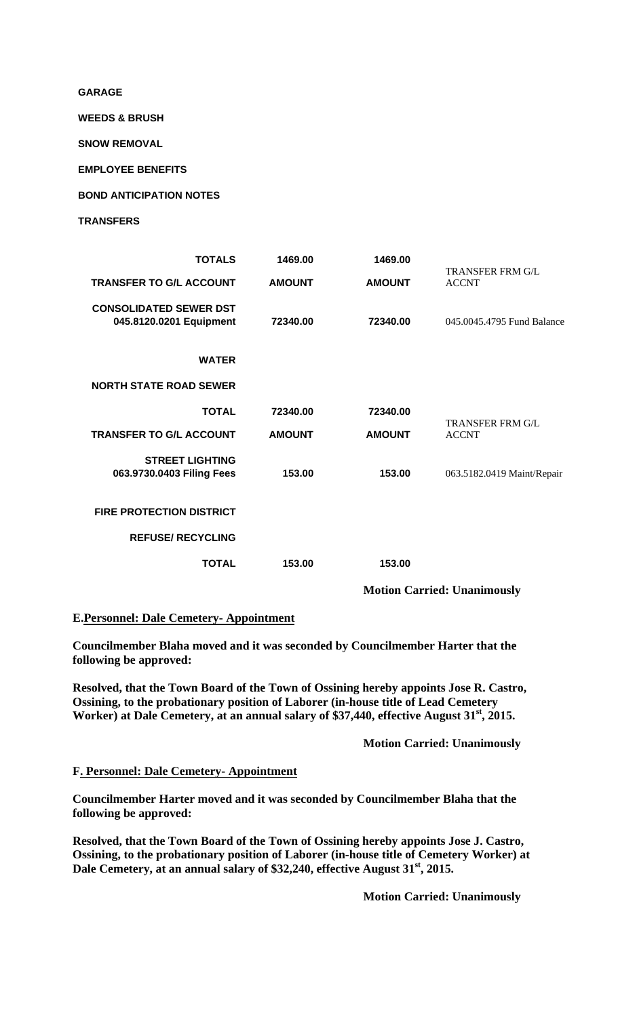**GARAGE WEEDS & BRUSH SNOW REMOVAL EMPLOYEE BENEFITS BOND ANTICIPATION NOTES TRANSFERS TOTALS 1469.00 1469.00 TRANSFER TO G/L ACCOUNT AMOUNT AMOUNT** TRANSFER FRM G/L ACCNT **CONSOLIDATED SEWER DST 045.8120.0201 Equipment 72340.00 72340.00** 045.0045.4795 Fund Balance **WATER NORTH STATE ROAD SEWER TOTAL 72340.00 72340.00 TRANSFER TO G/L ACCOUNT AMOUNT AMOUNT** TRANSFER FRM G/L ACCNT **STREET LIGHTING 063.9730.0403 Filing Fees 153.00 153.00** 063.5182.0419 Maint/Repair **FIRE PROTECTION DISTRICT REFUSE/ RECYCLING TOTAL 153.00 153.00 Motion Carried: Unanimously** 

### **E.Personnel: Dale Cemetery- Appointment**

**Councilmember Blaha moved and it was seconded by Councilmember Harter that the following be approved:** 

**Resolved, that the Town Board of the Town of Ossining hereby appoints Jose R. Castro, Ossining, to the probationary position of Laborer (in-house title of Lead Cemetery**  Worker) at Dale Cemetery, at an annual salary of \$37,440, effective August 31<sup>st</sup>, 2015.

 **Motion Carried: Unanimously** 

#### **F. Personnel: Dale Cemetery- Appointment**

**Councilmember Harter moved and it was seconded by Councilmember Blaha that the following be approved:** 

**Resolved, that the Town Board of the Town of Ossining hereby appoints Jose J. Castro, Ossining, to the probationary position of Laborer (in-house title of Cemetery Worker) at**  Dale Cemetery, at an annual salary of \$32,240, effective August 31<sup>st</sup>, 2015.

 **Motion Carried: Unanimously**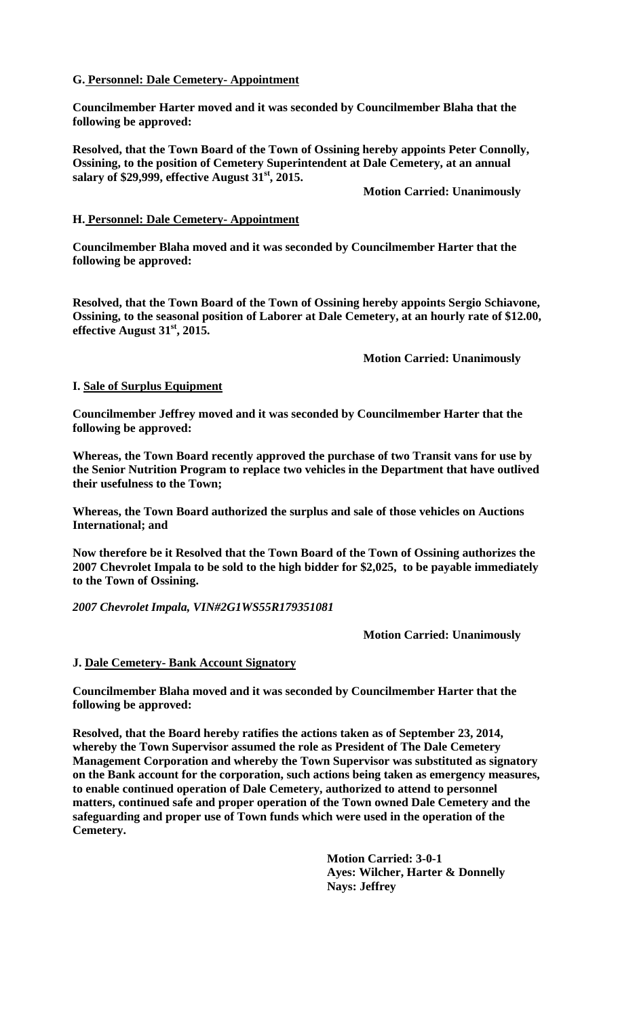## **G. Personnel: Dale Cemetery- Appointment**

**Councilmember Harter moved and it was seconded by Councilmember Blaha that the following be approved:** 

**Resolved, that the Town Board of the Town of Ossining hereby appoints Peter Connolly, Ossining, to the position of Cemetery Superintendent at Dale Cemetery, at an annual salary of \$29,999, effective August 31st, 2015.** 

 **Motion Carried: Unanimously** 

### **H. Personnel: Dale Cemetery- Appointment**

**Councilmember Blaha moved and it was seconded by Councilmember Harter that the following be approved:** 

**Resolved, that the Town Board of the Town of Ossining hereby appoints Sergio Schiavone, Ossining, to the seasonal position of Laborer at Dale Cemetery, at an hourly rate of \$12.00, effective August 31st, 2015.** 

 **Motion Carried: Unanimously** 

## **I. Sale of Surplus Equipment**

**Councilmember Jeffrey moved and it was seconded by Councilmember Harter that the following be approved:** 

**Whereas, the Town Board recently approved the purchase of two Transit vans for use by the Senior Nutrition Program to replace two vehicles in the Department that have outlived their usefulness to the Town;** 

**Whereas, the Town Board authorized the surplus and sale of those vehicles on Auctions International; and** 

**Now therefore be it Resolved that the Town Board of the Town of Ossining authorizes the 2007 Chevrolet Impala to be sold to the high bidder for \$2,025, to be payable immediately to the Town of Ossining.**

*2007 Chevrolet Impala, VIN#2G1WS55R179351081* 

**Motion Carried: Unanimously** 

# **J. Dale Cemetery- Bank Account Signatory**

**Councilmember Blaha moved and it was seconded by Councilmember Harter that the following be approved:** 

**Resolved, that the Board hereby ratifies the actions taken as of September 23, 2014, whereby the Town Supervisor assumed the role as President of The Dale Cemetery Management Corporation and whereby the Town Supervisor was substituted as signatory on the Bank account for the corporation, such actions being taken as emergency measures, to enable continued operation of Dale Cemetery, authorized to attend to personnel matters, continued safe and proper operation of the Town owned Dale Cemetery and the safeguarding and proper use of Town funds which were used in the operation of the Cemetery.** 

> **Motion Carried: 3-0-1 Ayes: Wilcher, Harter & Donnelly Nays: Jeffrey**